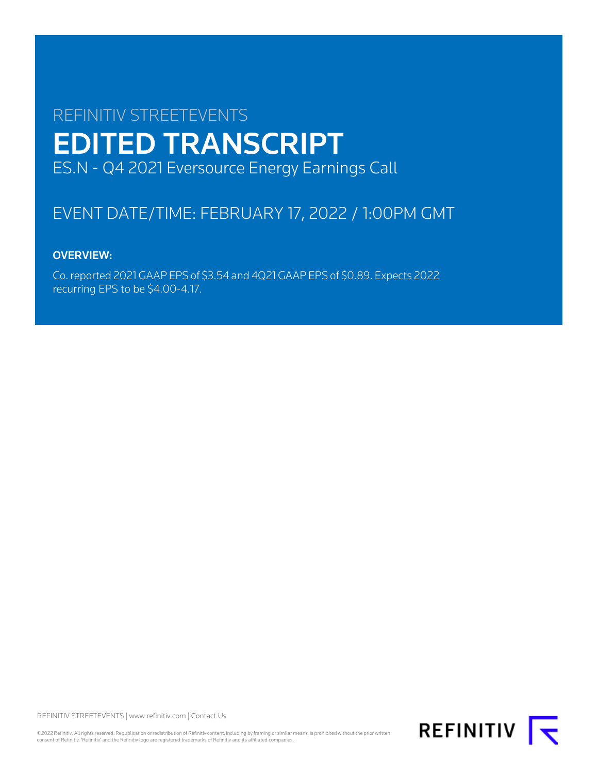# REFINITIV STREETEVENTS EDITED TRANSCRIPT ES.N - Q4 2021 Eversource Energy Earnings Call

# EVENT DATE/TIME: FEBRUARY 17, 2022 / 1:00PM GMT

# OVERVIEW:

Co. reported 2021 GAAP EPS of \$3.54 and 4Q21 GAAP EPS of \$0.89. Expects 2022 recurring EPS to be \$4.00-4.17.

REFINITIV STREETEVENTS | [www.refinitiv.com](https://www.refinitiv.com/) | [Contact Us](https://www.refinitiv.com/en/contact-us)

©2022 Refinitiv. All rights reserved. Republication or redistribution of Refinitiv content, including by framing or similar means, is prohibited without the prior written<br>consent of Refinitiv. 'Refinitiv' and the Refinitiv

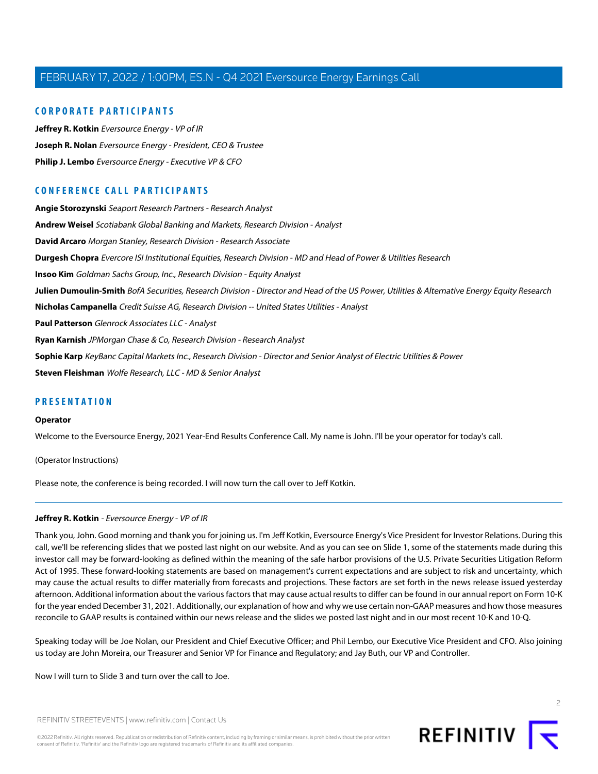# **CORPORATE PARTICIPANTS**

**[Jeffrey R. Kotkin](#page-1-0)** Eversource Energy - VP of IR **[Joseph R. Nolan](#page-2-0)** Eversource Energy - President, CEO & Trustee **[Philip J. Lembo](#page-4-0)** Eversource Energy - Executive VP & CFO

# **CONFERENCE CALL PARTICIPANTS**

**[Angie Storozynski](#page-10-0)** Seaport Research Partners - Research Analyst **[Andrew Weisel](#page-13-0)** Scotiabank Global Banking and Markets, Research Division - Analyst **[David Arcaro](#page-14-0)** Morgan Stanley, Research Division - Research Associate **[Durgesh Chopra](#page-9-0)** Evercore ISI Institutional Equities, Research Division - MD and Head of Power & Utilities Research **[Insoo Kim](#page-8-0)** Goldman Sachs Group, Inc., Research Division - Equity Analyst **[Julien Dumoulin-Smith](#page-12-0)** BofA Securities, Research Division - Director and Head of the US Power, Utilities & Alternative Energy Equity Research **[Nicholas Campanella](#page-10-1)** Credit Suisse AG, Research Division -- United States Utilities - Analyst **[Paul Patterson](#page-15-0)** Glenrock Associates LLC - Analyst **[Ryan Karnish](#page-16-0)** JPMorgan Chase & Co, Research Division - Research Analyst **[Sophie Karp](#page-11-0)** KeyBanc Capital Markets Inc., Research Division - Director and Senior Analyst of Electric Utilities & Power **[Steven Fleishman](#page-7-0)** Wolfe Research, LLC - MD & Senior Analyst

# **PRESENTATION**

#### **Operator**

Welcome to the Eversource Energy, 2021 Year-End Results Conference Call. My name is John. I'll be your operator for today's call.

<span id="page-1-0"></span>(Operator Instructions)

Please note, the conference is being recorded. I will now turn the call over to Jeff Kotkin.

# **Jeffrey R. Kotkin** - Eversource Energy - VP of IR

Thank you, John. Good morning and thank you for joining us. I'm Jeff Kotkin, Eversource Energy's Vice President for Investor Relations. During this call, we'll be referencing slides that we posted last night on our website. And as you can see on Slide 1, some of the statements made during this investor call may be forward-looking as defined within the meaning of the safe harbor provisions of the U.S. Private Securities Litigation Reform Act of 1995. These forward-looking statements are based on management's current expectations and are subject to risk and uncertainty, which may cause the actual results to differ materially from forecasts and projections. These factors are set forth in the news release issued yesterday afternoon. Additional information about the various factors that may cause actual results to differ can be found in our annual report on Form 10-K for the year ended December 31, 2021. Additionally, our explanation of how and why we use certain non-GAAP measures and how those measures reconcile to GAAP results is contained within our news release and the slides we posted last night and in our most recent 10-K and 10-Q.

Speaking today will be Joe Nolan, our President and Chief Executive Officer; and Phil Lembo, our Executive Vice President and CFO. Also joining us today are John Moreira, our Treasurer and Senior VP for Finance and Regulatory; and Jay Buth, our VP and Controller.

Now I will turn to Slide 3 and turn over the call to Joe.



©2022 Refinitiv. All rights reserved. Republication or redistribution of Refinitiv content, including by framing or similar means, is prohibited without the prior written consent of Refinitiv. 'Refinitiv' and the Refinitiv logo are registered trademarks of Refinitiv and its affiliated companies.



 $\supset$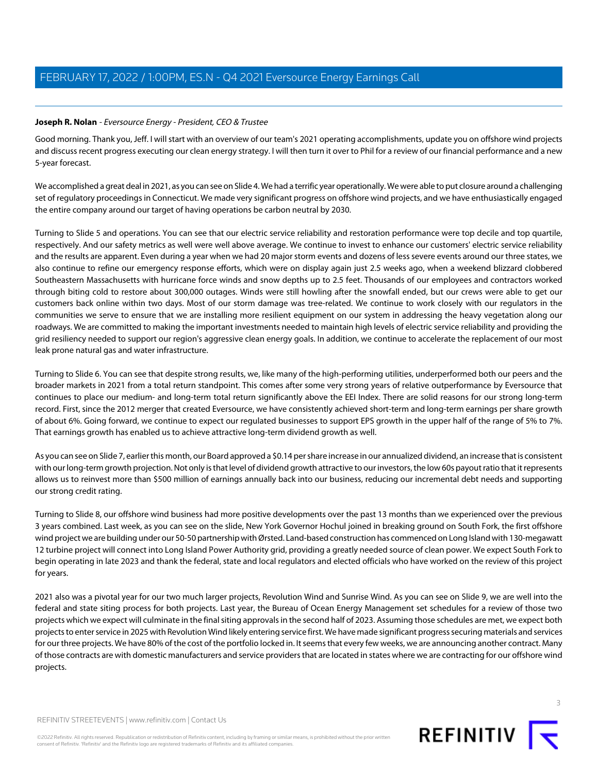# <span id="page-2-0"></span>**Joseph R. Nolan** - Eversource Energy - President, CEO & Trustee

Good morning. Thank you, Jeff. I will start with an overview of our team's 2021 operating accomplishments, update you on offshore wind projects and discuss recent progress executing our clean energy strategy. I will then turn it over to Phil for a review of our financial performance and a new 5-year forecast.

We accomplished a great deal in 2021, as you can see on Slide 4. We had a terrific year operationally. We were able to put closure around a challenging set of regulatory proceedings in Connecticut. We made very significant progress on offshore wind projects, and we have enthusiastically engaged the entire company around our target of having operations be carbon neutral by 2030.

Turning to Slide 5 and operations. You can see that our electric service reliability and restoration performance were top decile and top quartile, respectively. And our safety metrics as well were well above average. We continue to invest to enhance our customers' electric service reliability and the results are apparent. Even during a year when we had 20 major storm events and dozens of less severe events around our three states, we also continue to refine our emergency response efforts, which were on display again just 2.5 weeks ago, when a weekend blizzard clobbered Southeastern Massachusetts with hurricane force winds and snow depths up to 2.5 feet. Thousands of our employees and contractors worked through biting cold to restore about 300,000 outages. Winds were still howling after the snowfall ended, but our crews were able to get our customers back online within two days. Most of our storm damage was tree-related. We continue to work closely with our regulators in the communities we serve to ensure that we are installing more resilient equipment on our system in addressing the heavy vegetation along our roadways. We are committed to making the important investments needed to maintain high levels of electric service reliability and providing the grid resiliency needed to support our region's aggressive clean energy goals. In addition, we continue to accelerate the replacement of our most leak prone natural gas and water infrastructure.

Turning to Slide 6. You can see that despite strong results, we, like many of the high-performing utilities, underperformed both our peers and the broader markets in 2021 from a total return standpoint. This comes after some very strong years of relative outperformance by Eversource that continues to place our medium- and long-term total return significantly above the EEI Index. There are solid reasons for our strong long-term record. First, since the 2012 merger that created Eversource, we have consistently achieved short-term and long-term earnings per share growth of about 6%. Going forward, we continue to expect our regulated businesses to support EPS growth in the upper half of the range of 5% to 7%. That earnings growth has enabled us to achieve attractive long-term dividend growth as well.

As you can see on Slide 7, earlier this month, our Board approved a \$0.14 per share increase in our annualized dividend, an increase that is consistent with our long-term growth projection. Not only is that level of dividend growth attractive to our investors, the low 60s payout ratio that it represents allows us to reinvest more than \$500 million of earnings annually back into our business, reducing our incremental debt needs and supporting our strong credit rating.

Turning to Slide 8, our offshore wind business had more positive developments over the past 13 months than we experienced over the previous 3 years combined. Last week, as you can see on the slide, New York Governor Hochul joined in breaking ground on South Fork, the first offshore wind project we are building under our 50-50 partnership with Ørsted. Land-based construction has commenced on Long Island with 130-megawatt 12 turbine project will connect into Long Island Power Authority grid, providing a greatly needed source of clean power. We expect South Fork to begin operating in late 2023 and thank the federal, state and local regulators and elected officials who have worked on the review of this project for years.

2021 also was a pivotal year for our two much larger projects, Revolution Wind and Sunrise Wind. As you can see on Slide 9, we are well into the federal and state siting process for both projects. Last year, the Bureau of Ocean Energy Management set schedules for a review of those two projects which we expect will culminate in the final siting approvals in the second half of 2023. Assuming those schedules are met, we expect both projects to enter service in 2025 with Revolution Wind likely entering service first. We have made significant progress securing materials and services for our three projects. We have 80% of the cost of the portfolio locked in. It seems that every few weeks, we are announcing another contract. Many of those contracts are with domestic manufacturers and service providers that are located in states where we are contracting for our offshore wind projects.

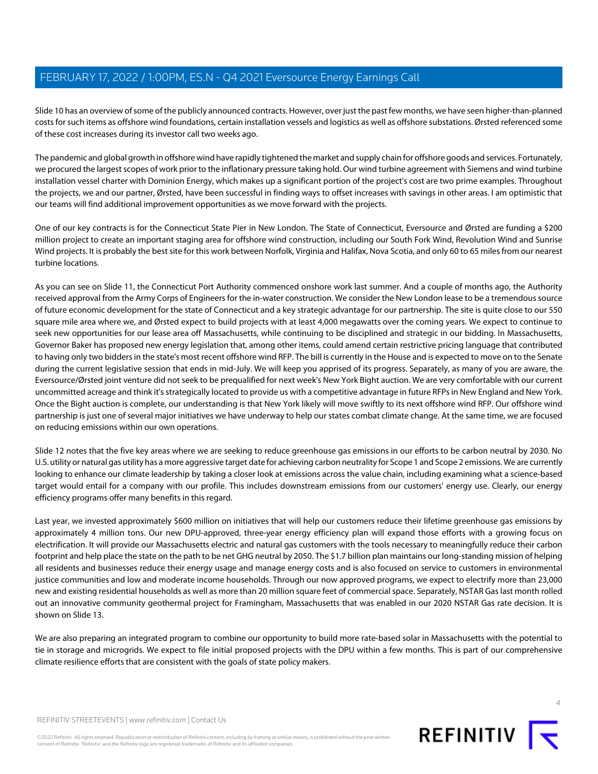Slide 10 has an overview of some of the publicly announced contracts. However, over just the past few months, we have seen higher-than-planned costs for such items as offshore wind foundations, certain installation vessels and logistics as well as offshore substations. Ørsted referenced some of these cost increases during its investor call two weeks ago.

The pandemic and global growth in offshore wind have rapidly tightened the market and supply chain for offshore goods and services. Fortunately, we procured the largest scopes of work prior to the inflationary pressure taking hold. Our wind turbine agreement with Siemens and wind turbine installation vessel charter with Dominion Energy, which makes up a significant portion of the project's cost are two prime examples. Throughout the projects, we and our partner, Ørsted, have been successful in finding ways to offset increases with savings in other areas. I am optimistic that our teams will find additional improvement opportunities as we move forward with the projects.

One of our key contracts is for the Connecticut State Pier in New London. The State of Connecticut, Eversource and Ørsted are funding a \$200 million project to create an important staging area for offshore wind construction, including our South Fork Wind, Revolution Wind and Sunrise Wind projects. It is probably the best site for this work between Norfolk, Virginia and Halifax, Nova Scotia, and only 60 to 65 miles from our nearest turbine locations.

As you can see on Slide 11, the Connecticut Port Authority commenced onshore work last summer. And a couple of months ago, the Authority received approval from the Army Corps of Engineers for the in-water construction. We consider the New London lease to be a tremendous source of future economic development for the state of Connecticut and a key strategic advantage for our partnership. The site is quite close to our 550 square mile area where we, and Ørsted expect to build projects with at least 4,000 megawatts over the coming years. We expect to continue to seek new opportunities for our lease area off Massachusetts, while continuing to be disciplined and strategic in our bidding. In Massachusetts, Governor Baker has proposed new energy legislation that, among other items, could amend certain restrictive pricing language that contributed to having only two bidders in the state's most recent offshore wind RFP. The bill is currently in the House and is expected to move on to the Senate during the current legislative session that ends in mid-July. We will keep you apprised of its progress. Separately, as many of you are aware, the Eversource/Ørsted joint venture did not seek to be prequalified for next week's New York Bight auction. We are very comfortable with our current uncommitted acreage and think it's strategically located to provide us with a competitive advantage in future RFPs in New England and New York. Once the Bight auction is complete, our understanding is that New York likely will move swiftly to its next offshore wind RFP. Our offshore wind partnership is just one of several major initiatives we have underway to help our states combat climate change. At the same time, we are focused on reducing emissions within our own operations.

Slide 12 notes that the five key areas where we are seeking to reduce greenhouse gas emissions in our efforts to be carbon neutral by 2030. No U.S. utility or natural gas utility has a more aggressive target date for achieving carbon neutrality for Scope 1 and Scope 2 emissions. We are currently looking to enhance our climate leadership by taking a closer look at emissions across the value chain, including examining what a science-based target would entail for a company with our profile. This includes downstream emissions from our customers' energy use. Clearly, our energy efficiency programs offer many benefits in this regard.

Last year, we invested approximately \$600 million on initiatives that will help our customers reduce their lifetime greenhouse gas emissions by approximately 4 million tons. Our new DPU-approved, three-year energy efficiency plan will expand those efforts with a growing focus on electrification. It will provide our Massachusetts electric and natural gas customers with the tools necessary to meaningfully reduce their carbon footprint and help place the state on the path to be net GHG neutral by 2050. The \$1.7 billion plan maintains our long-standing mission of helping all residents and businesses reduce their energy usage and manage energy costs and is also focused on service to customers in environmental justice communities and low and moderate income households. Through our now approved programs, we expect to electrify more than 23,000 new and existing residential households as well as more than 20 million square feet of commercial space. Separately, NSTAR Gas last month rolled out an innovative community geothermal project for Framingham, Massachusetts that was enabled in our 2020 NSTAR Gas rate decision. It is shown on Slide 13.

We are also preparing an integrated program to combine our opportunity to build more rate-based solar in Massachusetts with the potential to tie in storage and microgrids. We expect to file initial proposed projects with the DPU within a few months. This is part of our comprehensive climate resilience efforts that are consistent with the goals of state policy makers.



 $\Delta$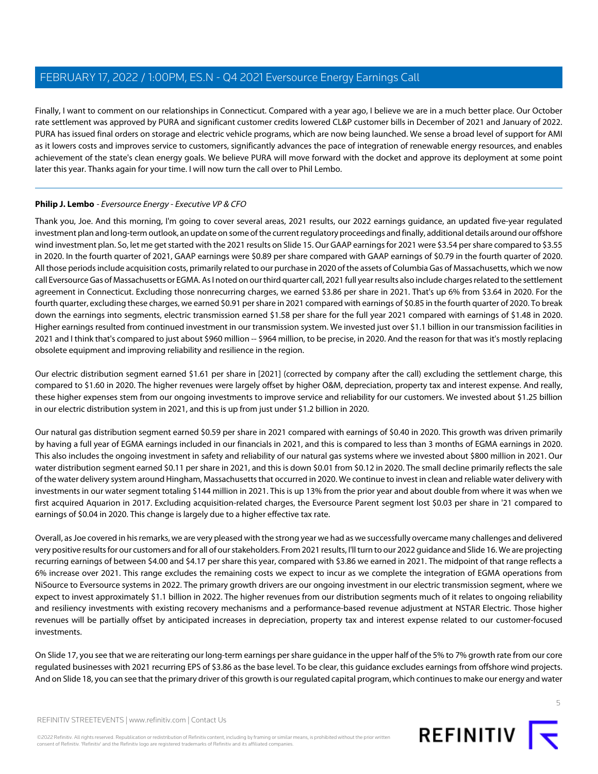Finally, I want to comment on our relationships in Connecticut. Compared with a year ago, I believe we are in a much better place. Our October rate settlement was approved by PURA and significant customer credits lowered CL&P customer bills in December of 2021 and January of 2022. PURA has issued final orders on storage and electric vehicle programs, which are now being launched. We sense a broad level of support for AMI as it lowers costs and improves service to customers, significantly advances the pace of integration of renewable energy resources, and enables achievement of the state's clean energy goals. We believe PURA will move forward with the docket and approve its deployment at some point later this year. Thanks again for your time. I will now turn the call over to Phil Lembo.

# <span id="page-4-0"></span>**Philip J. Lembo** - Eversource Energy - Executive VP & CFO

Thank you, Joe. And this morning, I'm going to cover several areas, 2021 results, our 2022 earnings guidance, an updated five-year regulated investment plan and long-term outlook, an update on some of the current regulatory proceedings and finally, additional details around our offshore wind investment plan. So, let me get started with the 2021 results on Slide 15. Our GAAP earnings for 2021 were \$3.54 per share compared to \$3.55 in 2020. In the fourth quarter of 2021, GAAP earnings were \$0.89 per share compared with GAAP earnings of \$0.79 in the fourth quarter of 2020. All those periods include acquisition costs, primarily related to our purchase in 2020 of the assets of Columbia Gas of Massachusetts, which we now call Eversource Gas of Massachusetts or EGMA. As I noted on our third quarter call, 2021 full year results also include charges related to the settlement agreement in Connecticut. Excluding those nonrecurring charges, we earned \$3.86 per share in 2021. That's up 6% from \$3.64 in 2020. For the fourth quarter, excluding these charges, we earned \$0.91 per share in 2021 compared with earnings of \$0.85 in the fourth quarter of 2020. To break down the earnings into segments, electric transmission earned \$1.58 per share for the full year 2021 compared with earnings of \$1.48 in 2020. Higher earnings resulted from continued investment in our transmission system. We invested just over \$1.1 billion in our transmission facilities in 2021 and I think that's compared to just about \$960 million -- \$964 million, to be precise, in 2020. And the reason for that was it's mostly replacing obsolete equipment and improving reliability and resilience in the region.

Our electric distribution segment earned \$1.61 per share in [2021] (corrected by company after the call) excluding the settlement charge, this compared to \$1.60 in 2020. The higher revenues were largely offset by higher O&M, depreciation, property tax and interest expense. And really, these higher expenses stem from our ongoing investments to improve service and reliability for our customers. We invested about \$1.25 billion in our electric distribution system in 2021, and this is up from just under \$1.2 billion in 2020.

Our natural gas distribution segment earned \$0.59 per share in 2021 compared with earnings of \$0.40 in 2020. This growth was driven primarily by having a full year of EGMA earnings included in our financials in 2021, and this is compared to less than 3 months of EGMA earnings in 2020. This also includes the ongoing investment in safety and reliability of our natural gas systems where we invested about \$800 million in 2021. Our water distribution segment earned \$0.11 per share in 2021, and this is down \$0.01 from \$0.12 in 2020. The small decline primarily reflects the sale of the water delivery system around Hingham, Massachusetts that occurred in 2020. We continue to invest in clean and reliable water delivery with investments in our water segment totaling \$144 million in 2021. This is up 13% from the prior year and about double from where it was when we first acquired Aquarion in 2017. Excluding acquisition-related charges, the Eversource Parent segment lost \$0.03 per share in '21 compared to earnings of \$0.04 in 2020. This change is largely due to a higher effective tax rate.

Overall, as Joe covered in his remarks, we are very pleased with the strong year we had as we successfully overcame many challenges and delivered very positive results for our customers and for all of our stakeholders. From 2021 results, I'll turn to our 2022 guidance and Slide 16. We are projecting recurring earnings of between \$4.00 and \$4.17 per share this year, compared with \$3.86 we earned in 2021. The midpoint of that range reflects a 6% increase over 2021. This range excludes the remaining costs we expect to incur as we complete the integration of EGMA operations from NiSource to Eversource systems in 2022. The primary growth drivers are our ongoing investment in our electric transmission segment, where we expect to invest approximately \$1.1 billion in 2022. The higher revenues from our distribution segments much of it relates to ongoing reliability and resiliency investments with existing recovery mechanisms and a performance-based revenue adjustment at NSTAR Electric. Those higher revenues will be partially offset by anticipated increases in depreciation, property tax and interest expense related to our customer-focused investments.

On Slide 17, you see that we are reiterating our long-term earnings per share guidance in the upper half of the 5% to 7% growth rate from our core regulated businesses with 2021 recurring EPS of \$3.86 as the base level. To be clear, this guidance excludes earnings from offshore wind projects. And on Slide 18, you can see that the primary driver of this growth is our regulated capital program, which continues to make our energy and water

REFINITIV STREETEVENTS | [www.refinitiv.com](https://www.refinitiv.com/) | [Contact Us](https://www.refinitiv.com/en/contact-us)

©2022 Refinitiv. All rights reserved. Republication or redistribution of Refinitiv content, including by framing or similar means, is prohibited without the prior written consent of Refinitiv. 'Refinitiv' and the Refinitiv logo are registered trademarks of Refinitiv and its affiliated companies.

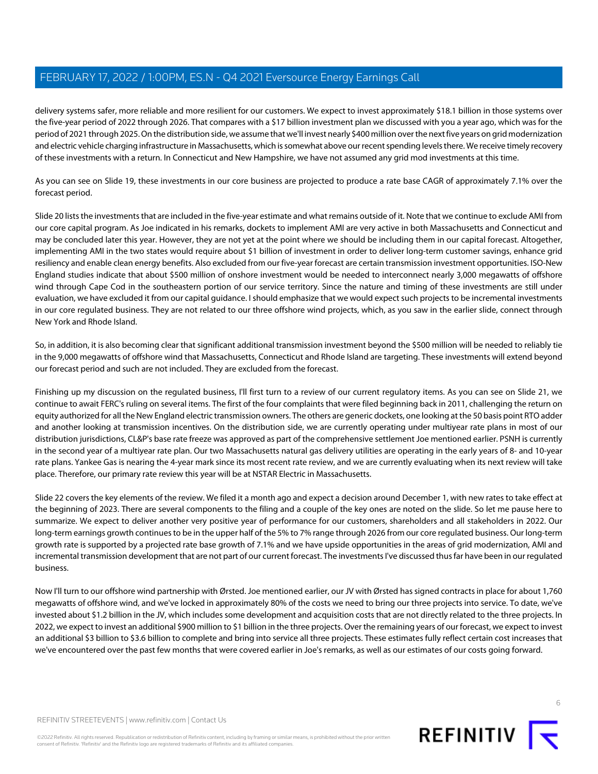delivery systems safer, more reliable and more resilient for our customers. We expect to invest approximately \$18.1 billion in those systems over the five-year period of 2022 through 2026. That compares with a \$17 billion investment plan we discussed with you a year ago, which was for the period of 2021 through 2025. On the distribution side, we assume that we'll invest nearly \$400 million over the next five years on grid modernization and electric vehicle charging infrastructure in Massachusetts, which is somewhat above our recent spending levels there. We receive timely recovery of these investments with a return. In Connecticut and New Hampshire, we have not assumed any grid mod investments at this time.

As you can see on Slide 19, these investments in our core business are projected to produce a rate base CAGR of approximately 7.1% over the forecast period.

Slide 20 lists the investments that are included in the five-year estimate and what remains outside of it. Note that we continue to exclude AMI from our core capital program. As Joe indicated in his remarks, dockets to implement AMI are very active in both Massachusetts and Connecticut and may be concluded later this year. However, they are not yet at the point where we should be including them in our capital forecast. Altogether, implementing AMI in the two states would require about \$1 billion of investment in order to deliver long-term customer savings, enhance grid resiliency and enable clean energy benefits. Also excluded from our five-year forecast are certain transmission investment opportunities. ISO-New England studies indicate that about \$500 million of onshore investment would be needed to interconnect nearly 3,000 megawatts of offshore wind through Cape Cod in the southeastern portion of our service territory. Since the nature and timing of these investments are still under evaluation, we have excluded it from our capital guidance. I should emphasize that we would expect such projects to be incremental investments in our core regulated business. They are not related to our three offshore wind projects, which, as you saw in the earlier slide, connect through New York and Rhode Island.

So, in addition, it is also becoming clear that significant additional transmission investment beyond the \$500 million will be needed to reliably tie in the 9,000 megawatts of offshore wind that Massachusetts, Connecticut and Rhode Island are targeting. These investments will extend beyond our forecast period and such are not included. They are excluded from the forecast.

Finishing up my discussion on the regulated business, I'll first turn to a review of our current regulatory items. As you can see on Slide 21, we continue to await FERC's ruling on several items. The first of the four complaints that were filed beginning back in 2011, challenging the return on equity authorized for all the New England electric transmission owners. The others are generic dockets, one looking at the 50 basis point RTO adder and another looking at transmission incentives. On the distribution side, we are currently operating under multiyear rate plans in most of our distribution jurisdictions, CL&P's base rate freeze was approved as part of the comprehensive settlement Joe mentioned earlier. PSNH is currently in the second year of a multiyear rate plan. Our two Massachusetts natural gas delivery utilities are operating in the early years of 8- and 10-year rate plans. Yankee Gas is nearing the 4-year mark since its most recent rate review, and we are currently evaluating when its next review will take place. Therefore, our primary rate review this year will be at NSTAR Electric in Massachusetts.

Slide 22 covers the key elements of the review. We filed it a month ago and expect a decision around December 1, with new rates to take effect at the beginning of 2023. There are several components to the filing and a couple of the key ones are noted on the slide. So let me pause here to summarize. We expect to deliver another very positive year of performance for our customers, shareholders and all stakeholders in 2022. Our long-term earnings growth continues to be in the upper half of the 5% to 7% range through 2026 from our core regulated business. Our long-term growth rate is supported by a projected rate base growth of 7.1% and we have upside opportunities in the areas of grid modernization, AMI and incremental transmission development that are not part of our current forecast. The investments I've discussed thus far have been in our regulated business.

Now I'll turn to our offshore wind partnership with Ørsted. Joe mentioned earlier, our JV with Ørsted has signed contracts in place for about 1,760 megawatts of offshore wind, and we've locked in approximately 80% of the costs we need to bring our three projects into service. To date, we've invested about \$1.2 billion in the JV, which includes some development and acquisition costs that are not directly related to the three projects. In 2022, we expect to invest an additional \$900 million to \$1 billion in the three projects. Over the remaining years of our forecast, we expect to invest an additional \$3 billion to \$3.6 billion to complete and bring into service all three projects. These estimates fully reflect certain cost increases that we've encountered over the past few months that were covered earlier in Joe's remarks, as well as our estimates of our costs going forward.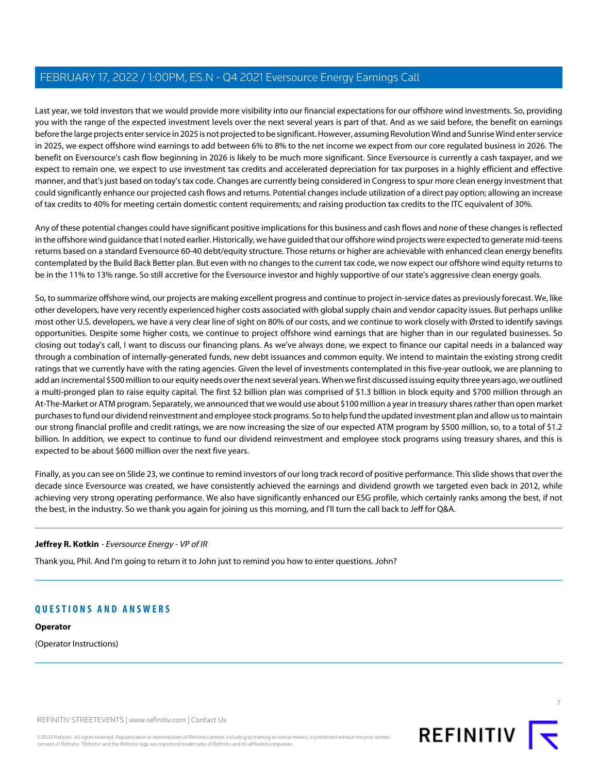Last year, we told investors that we would provide more visibility into our financial expectations for our offshore wind investments. So, providing you with the range of the expected investment levels over the next several years is part of that. And as we said before, the benefit on earnings before the large projects enter service in 2025 is not projected to be significant. However, assuming Revolution Wind and Sunrise Wind enter service in 2025, we expect offshore wind earnings to add between 6% to 8% to the net income we expect from our core regulated business in 2026. The benefit on Eversource's cash flow beginning in 2026 is likely to be much more significant. Since Eversource is currently a cash taxpayer, and we expect to remain one, we expect to use investment tax credits and accelerated depreciation for tax purposes in a highly efficient and effective manner, and that's just based on today's tax code. Changes are currently being considered in Congress to spur more clean energy investment that could significantly enhance our projected cash flows and returns. Potential changes include utilization of a direct pay option; allowing an increase of tax credits to 40% for meeting certain domestic content requirements; and raising production tax credits to the ITC equivalent of 30%.

Any of these potential changes could have significant positive implications for this business and cash flows and none of these changes is reflected in the offshore wind guidance that I noted earlier. Historically, we have guided that our offshore wind projects were expected to generate mid-teens returns based on a standard Eversource 60-40 debt/equity structure. Those returns or higher are achievable with enhanced clean energy benefits contemplated by the Build Back Better plan. But even with no changes to the current tax code, we now expect our offshore wind equity returns to be in the 11% to 13% range. So still accretive for the Eversource investor and highly supportive of our state's aggressive clean energy goals.

So, to summarize offshore wind, our projects are making excellent progress and continue to project in-service dates as previously forecast. We, like other developers, have very recently experienced higher costs associated with global supply chain and vendor capacity issues. But perhaps unlike most other U.S. developers, we have a very clear line of sight on 80% of our costs, and we continue to work closely with Ørsted to identify savings opportunities. Despite some higher costs, we continue to project offshore wind earnings that are higher than in our regulated businesses. So closing out today's call, I want to discuss our financing plans. As we've always done, we expect to finance our capital needs in a balanced way through a combination of internally-generated funds, new debt issuances and common equity. We intend to maintain the existing strong credit ratings that we currently have with the rating agencies. Given the level of investments contemplated in this five-year outlook, we are planning to add an incremental \$500 million to our equity needs over the next several years. When we first discussed issuing equity three years ago, we outlined a multi-pronged plan to raise equity capital. The first \$2 billion plan was comprised of \$1.3 billion in block equity and \$700 million through an At-The-Market or ATM program. Separately, we announced that we would use about \$100 million a year in treasury shares rather than open market purchases to fund our dividend reinvestment and employee stock programs. So to help fund the updated investment plan and allow us to maintain our strong financial profile and credit ratings, we are now increasing the size of our expected ATM program by \$500 million, so, to a total of \$1.2 billion. In addition, we expect to continue to fund our dividend reinvestment and employee stock programs using treasury shares, and this is expected to be about \$600 million over the next five years.

Finally, as you can see on Slide 23, we continue to remind investors of our long track record of positive performance. This slide shows that over the decade since Eversource was created, we have consistently achieved the earnings and dividend growth we targeted even back in 2012, while achieving very strong operating performance. We also have significantly enhanced our ESG profile, which certainly ranks among the best, if not the best, in the industry. So we thank you again for joining us this morning, and I'll turn the call back to Jeff for Q&A.

#### **Jeffrey R. Kotkin** - Eversource Energy - VP of IR

Thank you, Phil. And I'm going to return it to John just to remind you how to enter questions. John?

# **QUESTIONS AND ANSWERS**

# **Operator**

(Operator Instructions)

REFINITIV STREETEVENTS | [www.refinitiv.com](https://www.refinitiv.com/) | [Contact Us](https://www.refinitiv.com/en/contact-us)

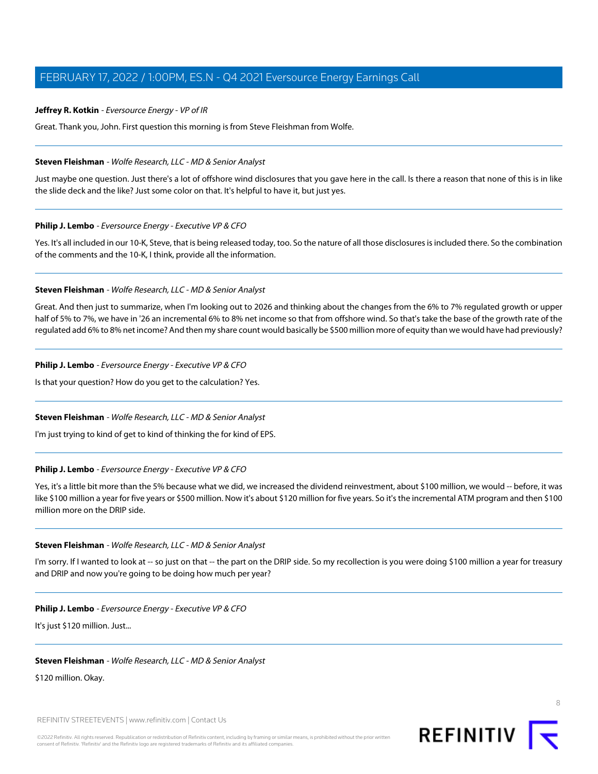Great. Thank you, John. First question this morning is from Steve Fleishman from Wolfe.

#### <span id="page-7-0"></span>**Steven Fleishman** - Wolfe Research, LLC - MD & Senior Analyst

Just maybe one question. Just there's a lot of offshore wind disclosures that you gave here in the call. Is there a reason that none of this is in like the slide deck and the like? Just some color on that. It's helpful to have it, but just yes.

#### **Philip J. Lembo** - Eversource Energy - Executive VP & CFO

Yes. It's all included in our 10-K, Steve, that is being released today, too. So the nature of all those disclosures is included there. So the combination of the comments and the 10-K, I think, provide all the information.

#### **Steven Fleishman** - Wolfe Research, LLC - MD & Senior Analyst

Great. And then just to summarize, when I'm looking out to 2026 and thinking about the changes from the 6% to 7% regulated growth or upper half of 5% to 7%, we have in '26 an incremental 6% to 8% net income so that from offshore wind. So that's take the base of the growth rate of the regulated add 6% to 8% net income? And then my share count would basically be \$500 million more of equity than we would have had previously?

# **Philip J. Lembo** - Eversource Energy - Executive VP & CFO

Is that your question? How do you get to the calculation? Yes.

# **Steven Fleishman** - Wolfe Research, LLC - MD & Senior Analyst

I'm just trying to kind of get to kind of thinking the for kind of EPS.

#### **Philip J. Lembo** - Eversource Energy - Executive VP & CFO

Yes, it's a little bit more than the 5% because what we did, we increased the dividend reinvestment, about \$100 million, we would -- before, it was like \$100 million a year for five years or \$500 million. Now it's about \$120 million for five years. So it's the incremental ATM program and then \$100 million more on the DRIP side.

#### **Steven Fleishman** - Wolfe Research, LLC - MD & Senior Analyst

I'm sorry. If I wanted to look at -- so just on that -- the part on the DRIP side. So my recollection is you were doing \$100 million a year for treasury and DRIP and now you're going to be doing how much per year?

#### **Philip J. Lembo** - Eversource Energy - Executive VP & CFO

It's just \$120 million. Just...

#### **Steven Fleishman** - Wolfe Research, LLC - MD & Senior Analyst

\$120 million. Okay.

REFINITIV STREETEVENTS | [www.refinitiv.com](https://www.refinitiv.com/) | [Contact Us](https://www.refinitiv.com/en/contact-us)

©2022 Refinitiv. All rights reserved. Republication or redistribution of Refinitiv content, including by framing or similar means, is prohibited without the prior written consent of Refinitiv. 'Refinitiv' and the Refinitiv logo are registered trademarks of Refinitiv and its affiliated companies.

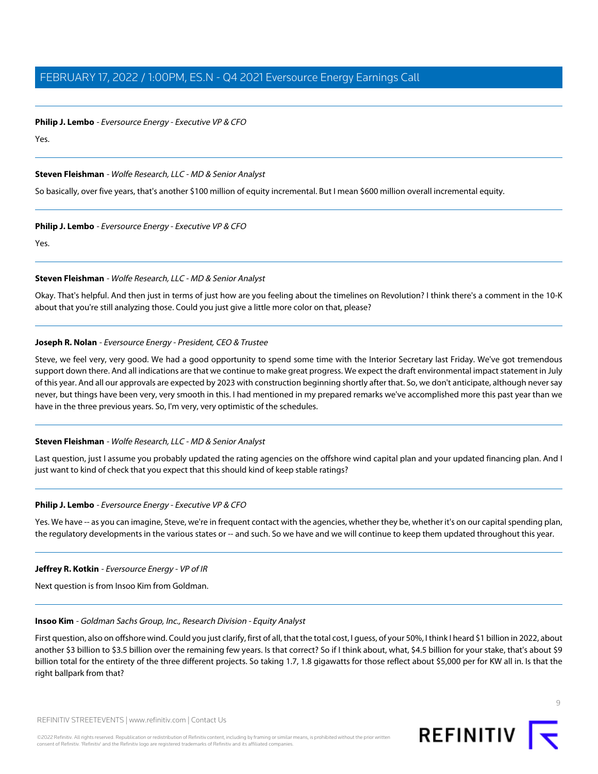**Philip J. Lembo** - Eversource Energy - Executive VP & CFO

Yes.

# **Steven Fleishman** - Wolfe Research, LLC - MD & Senior Analyst

So basically, over five years, that's another \$100 million of equity incremental. But I mean \$600 million overall incremental equity.

#### **Philip J. Lembo** - Eversource Energy - Executive VP & CFO

Yes.

# **Steven Fleishman** - Wolfe Research, LLC - MD & Senior Analyst

Okay. That's helpful. And then just in terms of just how are you feeling about the timelines on Revolution? I think there's a comment in the 10-K about that you're still analyzing those. Could you just give a little more color on that, please?

# **Joseph R. Nolan** - Eversource Energy - President, CEO & Trustee

Steve, we feel very, very good. We had a good opportunity to spend some time with the Interior Secretary last Friday. We've got tremendous support down there. And all indications are that we continue to make great progress. We expect the draft environmental impact statement in July of this year. And all our approvals are expected by 2023 with construction beginning shortly after that. So, we don't anticipate, although never say never, but things have been very, very smooth in this. I had mentioned in my prepared remarks we've accomplished more this past year than we have in the three previous years. So, I'm very, very optimistic of the schedules.

# **Steven Fleishman** - Wolfe Research, LLC - MD & Senior Analyst

Last question, just I assume you probably updated the rating agencies on the offshore wind capital plan and your updated financing plan. And I just want to kind of check that you expect that this should kind of keep stable ratings?

#### **Philip J. Lembo** - Eversource Energy - Executive VP & CFO

Yes. We have -- as you can imagine, Steve, we're in frequent contact with the agencies, whether they be, whether it's on our capital spending plan, the regulatory developments in the various states or -- and such. So we have and we will continue to keep them updated throughout this year.

#### <span id="page-8-0"></span>**Jeffrey R. Kotkin** - Eversource Energy - VP of IR

Next question is from Insoo Kim from Goldman.

#### **Insoo Kim** - Goldman Sachs Group, Inc., Research Division - Equity Analyst

First question, also on offshore wind. Could you just clarify, first of all, that the total cost, I guess, of your 50%, I think I heard \$1 billion in 2022, about another \$3 billion to \$3.5 billion over the remaining few years. Is that correct? So if I think about, what, \$4.5 billion for your stake, that's about \$9 billion total for the entirety of the three different projects. So taking 1.7, 1.8 gigawatts for those reflect about \$5,000 per for KW all in. Is that the right ballpark from that?



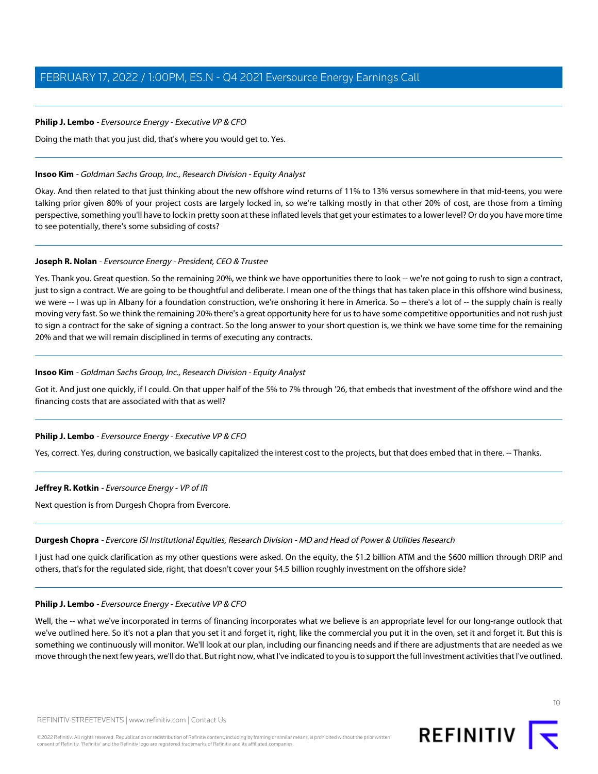# **Philip J. Lembo** - Eversource Energy - Executive VP & CFO

Doing the math that you just did, that's where you would get to. Yes.

#### **Insoo Kim** - Goldman Sachs Group, Inc., Research Division - Equity Analyst

Okay. And then related to that just thinking about the new offshore wind returns of 11% to 13% versus somewhere in that mid-teens, you were talking prior given 80% of your project costs are largely locked in, so we're talking mostly in that other 20% of cost, are those from a timing perspective, something you'll have to lock in pretty soon at these inflated levels that get your estimates to a lower level? Or do you have more time to see potentially, there's some subsiding of costs?

# **Joseph R. Nolan** - Eversource Energy - President, CEO & Trustee

Yes. Thank you. Great question. So the remaining 20%, we think we have opportunities there to look -- we're not going to rush to sign a contract, just to sign a contract. We are going to be thoughtful and deliberate. I mean one of the things that has taken place in this offshore wind business, we were -- I was up in Albany for a foundation construction, we're onshoring it here in America. So -- there's a lot of -- the supply chain is really moving very fast. So we think the remaining 20% there's a great opportunity here for us to have some competitive opportunities and not rush just to sign a contract for the sake of signing a contract. So the long answer to your short question is, we think we have some time for the remaining 20% and that we will remain disciplined in terms of executing any contracts.

# **Insoo Kim** - Goldman Sachs Group, Inc., Research Division - Equity Analyst

Got it. And just one quickly, if I could. On that upper half of the 5% to 7% through '26, that embeds that investment of the offshore wind and the financing costs that are associated with that as well?

#### **Philip J. Lembo** - Eversource Energy - Executive VP & CFO

Yes, correct. Yes, during construction, we basically capitalized the interest cost to the projects, but that does embed that in there. -- Thanks.

#### <span id="page-9-0"></span>**Jeffrey R. Kotkin** - Eversource Energy - VP of IR

Next question is from Durgesh Chopra from Evercore.

#### **Durgesh Chopra** - Evercore ISI Institutional Equities, Research Division - MD and Head of Power & Utilities Research

I just had one quick clarification as my other questions were asked. On the equity, the \$1.2 billion ATM and the \$600 million through DRIP and others, that's for the regulated side, right, that doesn't cover your \$4.5 billion roughly investment on the offshore side?

#### **Philip J. Lembo** - Eversource Energy - Executive VP & CFO

Well, the -- what we've incorporated in terms of financing incorporates what we believe is an appropriate level for our long-range outlook that we've outlined here. So it's not a plan that you set it and forget it, right, like the commercial you put it in the oven, set it and forget it. But this is something we continuously will monitor. We'll look at our plan, including our financing needs and if there are adjustments that are needed as we move through the next few years, we'll do that. But right now, what I've indicated to you is to support the full investment activities that I've outlined.

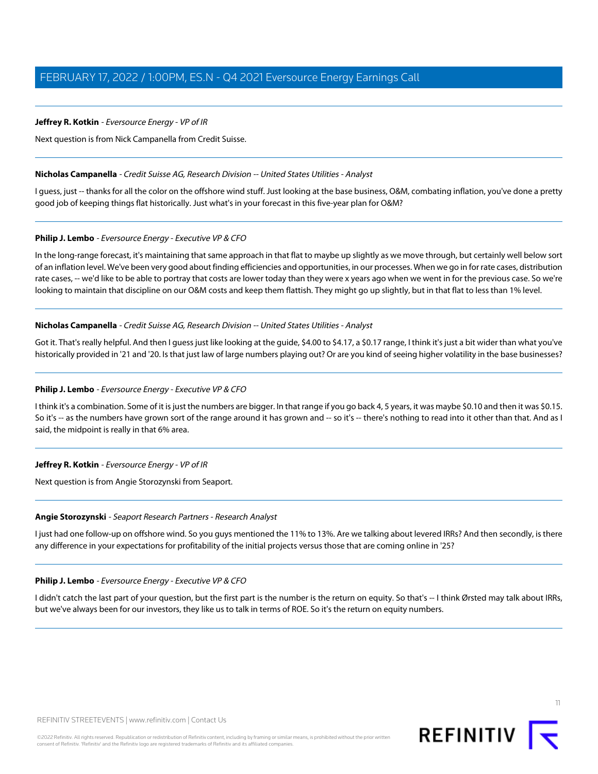<span id="page-10-1"></span>Next question is from Nick Campanella from Credit Suisse.

#### **Nicholas Campanella** - Credit Suisse AG, Research Division -- United States Utilities - Analyst

I guess, just -- thanks for all the color on the offshore wind stuff. Just looking at the base business, O&M, combating inflation, you've done a pretty good job of keeping things flat historically. Just what's in your forecast in this five-year plan for O&M?

# **Philip J. Lembo** - Eversource Energy - Executive VP & CFO

In the long-range forecast, it's maintaining that same approach in that flat to maybe up slightly as we move through, but certainly well below sort of an inflation level. We've been very good about finding efficiencies and opportunities, in our processes. When we go in for rate cases, distribution rate cases, -- we'd like to be able to portray that costs are lower today than they were x years ago when we went in for the previous case. So we're looking to maintain that discipline on our O&M costs and keep them flattish. They might go up slightly, but in that flat to less than 1% level.

# **Nicholas Campanella** - Credit Suisse AG, Research Division -- United States Utilities - Analyst

Got it. That's really helpful. And then I guess just like looking at the guide, \$4.00 to \$4.17, a \$0.17 range, I think it's just a bit wider than what you've historically provided in '21 and '20. Is that just law of large numbers playing out? Or are you kind of seeing higher volatility in the base businesses?

#### **Philip J. Lembo** - Eversource Energy - Executive VP & CFO

I think it's a combination. Some of it is just the numbers are bigger. In that range if you go back 4, 5 years, it was maybe \$0.10 and then it was \$0.15. So it's -- as the numbers have grown sort of the range around it has grown and -- so it's -- there's nothing to read into it other than that. And as I said, the midpoint is really in that 6% area.

# <span id="page-10-0"></span>**Jeffrey R. Kotkin** - Eversource Energy - VP of IR

Next question is from Angie Storozynski from Seaport.

#### **Angie Storozynski** - Seaport Research Partners - Research Analyst

I just had one follow-up on offshore wind. So you guys mentioned the 11% to 13%. Are we talking about levered IRRs? And then secondly, is there any difference in your expectations for profitability of the initial projects versus those that are coming online in '25?

#### **Philip J. Lembo** - Eversource Energy - Executive VP & CFO

I didn't catch the last part of your question, but the first part is the number is the return on equity. So that's -- I think Ørsted may talk about IRRs, but we've always been for our investors, they like us to talk in terms of ROE. So it's the return on equity numbers.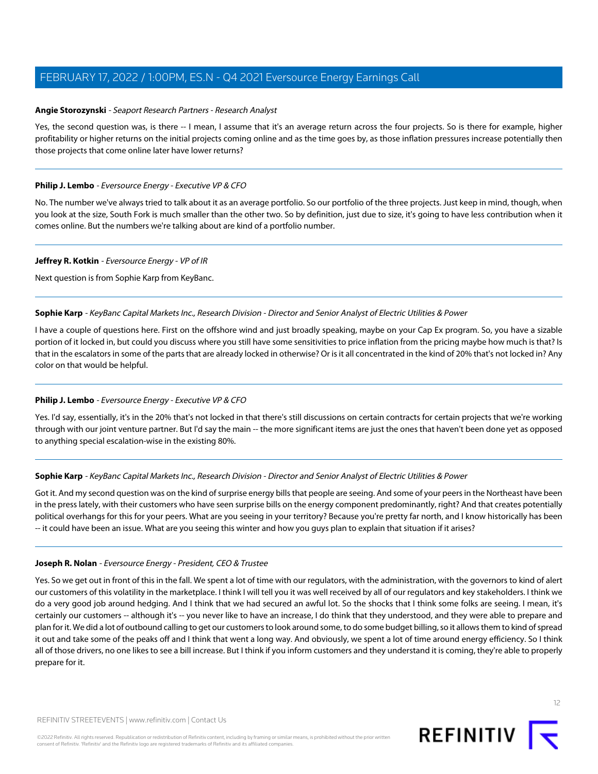# **Angie Storozynski** - Seaport Research Partners - Research Analyst

Yes, the second question was, is there -- I mean, I assume that it's an average return across the four projects. So is there for example, higher profitability or higher returns on the initial projects coming online and as the time goes by, as those inflation pressures increase potentially then those projects that come online later have lower returns?

# **Philip J. Lembo** - Eversource Energy - Executive VP & CFO

No. The number we've always tried to talk about it as an average portfolio. So our portfolio of the three projects. Just keep in mind, though, when you look at the size, South Fork is much smaller than the other two. So by definition, just due to size, it's going to have less contribution when it comes online. But the numbers we're talking about are kind of a portfolio number.

#### **Jeffrey R. Kotkin** - Eversource Energy - VP of IR

<span id="page-11-0"></span>Next question is from Sophie Karp from KeyBanc.

# **Sophie Karp** - KeyBanc Capital Markets Inc., Research Division - Director and Senior Analyst of Electric Utilities & Power

I have a couple of questions here. First on the offshore wind and just broadly speaking, maybe on your Cap Ex program. So, you have a sizable portion of it locked in, but could you discuss where you still have some sensitivities to price inflation from the pricing maybe how much is that? Is that in the escalators in some of the parts that are already locked in otherwise? Or is it all concentrated in the kind of 20% that's not locked in? Any color on that would be helpful.

# **Philip J. Lembo** - Eversource Energy - Executive VP & CFO

Yes. I'd say, essentially, it's in the 20% that's not locked in that there's still discussions on certain contracts for certain projects that we're working through with our joint venture partner. But I'd say the main -- the more significant items are just the ones that haven't been done yet as opposed to anything special escalation-wise in the existing 80%.

#### **Sophie Karp** - KeyBanc Capital Markets Inc., Research Division - Director and Senior Analyst of Electric Utilities & Power

Got it. And my second question was on the kind of surprise energy bills that people are seeing. And some of your peers in the Northeast have been in the press lately, with their customers who have seen surprise bills on the energy component predominantly, right? And that creates potentially political overhangs for this for your peers. What are you seeing in your territory? Because you're pretty far north, and I know historically has been -- it could have been an issue. What are you seeing this winter and how you guys plan to explain that situation if it arises?

#### **Joseph R. Nolan** - Eversource Energy - President, CEO & Trustee

Yes. So we get out in front of this in the fall. We spent a lot of time with our regulators, with the administration, with the governors to kind of alert our customers of this volatility in the marketplace. I think I will tell you it was well received by all of our regulators and key stakeholders. I think we do a very good job around hedging. And I think that we had secured an awful lot. So the shocks that I think some folks are seeing. I mean, it's certainly our customers -- although it's -- you never like to have an increase, I do think that they understood, and they were able to prepare and plan for it. We did a lot of outbound calling to get our customers to look around some, to do some budget billing, so it allows them to kind of spread it out and take some of the peaks off and I think that went a long way. And obviously, we spent a lot of time around energy efficiency. So I think all of those drivers, no one likes to see a bill increase. But I think if you inform customers and they understand it is coming, they're able to properly prepare for it.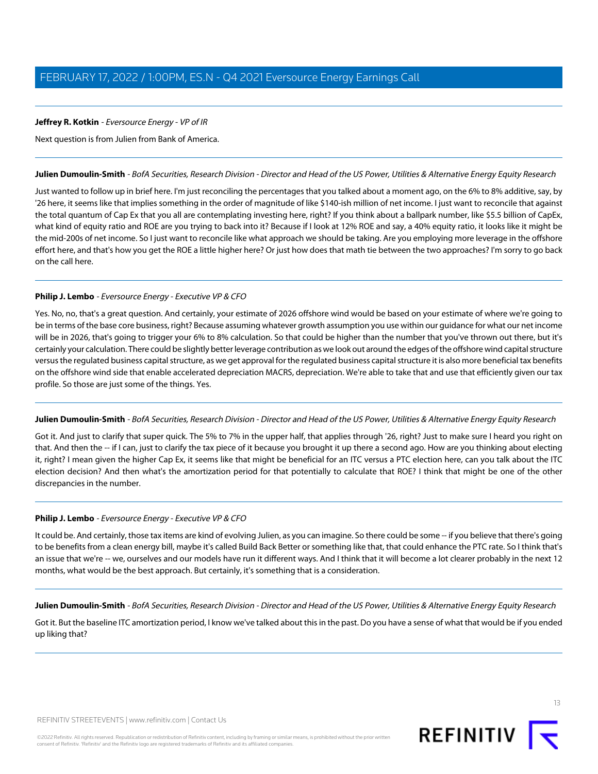<span id="page-12-0"></span>Next question is from Julien from Bank of America.

#### **Julien Dumoulin-Smith** - BofA Securities, Research Division - Director and Head of the US Power, Utilities & Alternative Energy Equity Research

Just wanted to follow up in brief here. I'm just reconciling the percentages that you talked about a moment ago, on the 6% to 8% additive, say, by '26 here, it seems like that implies something in the order of magnitude of like \$140-ish million of net income. I just want to reconcile that against the total quantum of Cap Ex that you all are contemplating investing here, right? If you think about a ballpark number, like \$5.5 billion of CapEx, what kind of equity ratio and ROE are you trying to back into it? Because if I look at 12% ROE and say, a 40% equity ratio, it looks like it might be the mid-200s of net income. So I just want to reconcile like what approach we should be taking. Are you employing more leverage in the offshore effort here, and that's how you get the ROE a little higher here? Or just how does that math tie between the two approaches? I'm sorry to go back on the call here.

# **Philip J. Lembo** - Eversource Energy - Executive VP & CFO

Yes. No, no, that's a great question. And certainly, your estimate of 2026 offshore wind would be based on your estimate of where we're going to be in terms of the base core business, right? Because assuming whatever growth assumption you use within our guidance for what our net income will be in 2026, that's going to trigger your 6% to 8% calculation. So that could be higher than the number that you've thrown out there, but it's certainly your calculation. There could be slightly better leverage contribution as we look out around the edges of the offshore wind capital structure versus the regulated business capital structure, as we get approval for the regulated business capital structure it is also more beneficial tax benefits on the offshore wind side that enable accelerated depreciation MACRS, depreciation. We're able to take that and use that efficiently given our tax profile. So those are just some of the things. Yes.

#### **Julien Dumoulin-Smith** - BofA Securities, Research Division - Director and Head of the US Power, Utilities & Alternative Energy Equity Research

Got it. And just to clarify that super quick. The 5% to 7% in the upper half, that applies through '26, right? Just to make sure I heard you right on that. And then the -- if I can, just to clarify the tax piece of it because you brought it up there a second ago. How are you thinking about electing it, right? I mean given the higher Cap Ex, it seems like that might be beneficial for an ITC versus a PTC election here, can you talk about the ITC election decision? And then what's the amortization period for that potentially to calculate that ROE? I think that might be one of the other discrepancies in the number.

#### **Philip J. Lembo** - Eversource Energy - Executive VP & CFO

It could be. And certainly, those tax items are kind of evolving Julien, as you can imagine. So there could be some -- if you believe that there's going to be benefits from a clean energy bill, maybe it's called Build Back Better or something like that, that could enhance the PTC rate. So I think that's an issue that we're -- we, ourselves and our models have run it different ways. And I think that it will become a lot clearer probably in the next 12 months, what would be the best approach. But certainly, it's something that is a consideration.

**Julien Dumoulin-Smith** - BofA Securities, Research Division - Director and Head of the US Power, Utilities & Alternative Energy Equity Research

Got it. But the baseline ITC amortization period, I know we've talked about this in the past. Do you have a sense of what that would be if you ended up liking that?

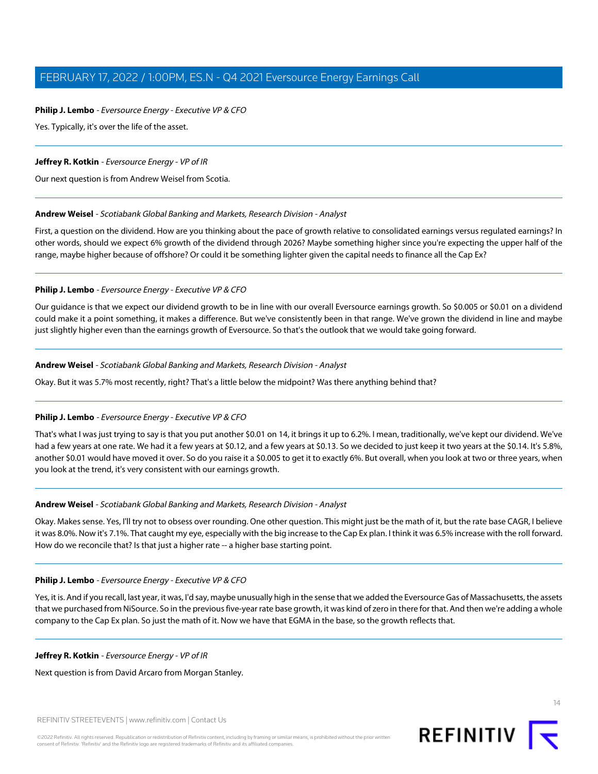# **Philip J. Lembo** - Eversource Energy - Executive VP & CFO

Yes. Typically, it's over the life of the asset.

# **Jeffrey R. Kotkin** - Eversource Energy - VP of IR

<span id="page-13-0"></span>Our next question is from Andrew Weisel from Scotia.

# **Andrew Weisel** - Scotiabank Global Banking and Markets, Research Division - Analyst

First, a question on the dividend. How are you thinking about the pace of growth relative to consolidated earnings versus regulated earnings? In other words, should we expect 6% growth of the dividend through 2026? Maybe something higher since you're expecting the upper half of the range, maybe higher because of offshore? Or could it be something lighter given the capital needs to finance all the Cap Ex?

# **Philip J. Lembo** - Eversource Energy - Executive VP & CFO

Our guidance is that we expect our dividend growth to be in line with our overall Eversource earnings growth. So \$0.005 or \$0.01 on a dividend could make it a point something, it makes a difference. But we've consistently been in that range. We've grown the dividend in line and maybe just slightly higher even than the earnings growth of Eversource. So that's the outlook that we would take going forward.

# **Andrew Weisel** - Scotiabank Global Banking and Markets, Research Division - Analyst

Okay. But it was 5.7% most recently, right? That's a little below the midpoint? Was there anything behind that?

# **Philip J. Lembo** - Eversource Energy - Executive VP & CFO

That's what I was just trying to say is that you put another \$0.01 on 14, it brings it up to 6.2%. I mean, traditionally, we've kept our dividend. We've had a few years at one rate. We had it a few years at \$0.12, and a few years at \$0.13. So we decided to just keep it two years at the \$0.14. It's 5.8%, another \$0.01 would have moved it over. So do you raise it a \$0.005 to get it to exactly 6%. But overall, when you look at two or three years, when you look at the trend, it's very consistent with our earnings growth.

#### **Andrew Weisel** - Scotiabank Global Banking and Markets, Research Division - Analyst

Okay. Makes sense. Yes, I'll try not to obsess over rounding. One other question. This might just be the math of it, but the rate base CAGR, I believe it was 8.0%. Now it's 7.1%. That caught my eye, especially with the big increase to the Cap Ex plan. I think it was 6.5% increase with the roll forward. How do we reconcile that? Is that just a higher rate -- a higher base starting point.

#### **Philip J. Lembo** - Eversource Energy - Executive VP & CFO

Yes, it is. And if you recall, last year, it was, I'd say, maybe unusually high in the sense that we added the Eversource Gas of Massachusetts, the assets that we purchased from NiSource. So in the previous five-year rate base growth, it was kind of zero in there for that. And then we're adding a whole company to the Cap Ex plan. So just the math of it. Now we have that EGMA in the base, so the growth reflects that.

# **Jeffrey R. Kotkin** - Eversource Energy - VP of IR

Next question is from David Arcaro from Morgan Stanley.

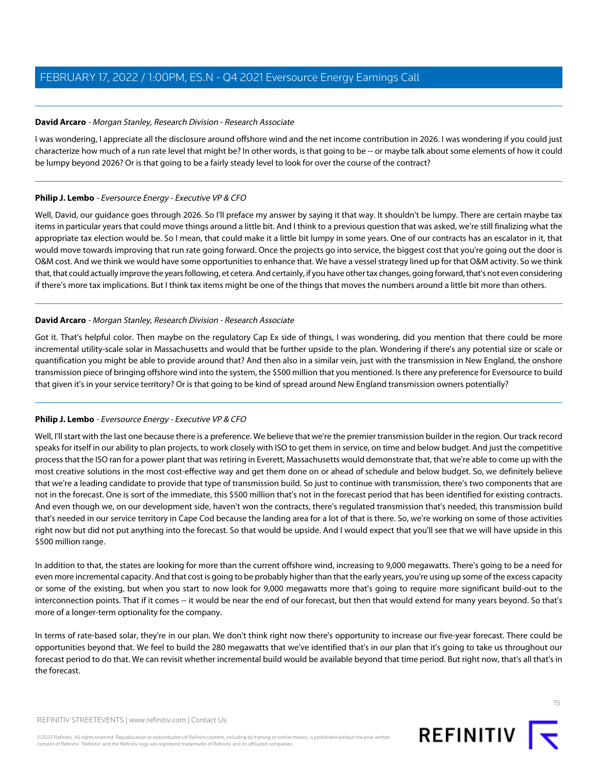# <span id="page-14-0"></span>**David Arcaro** - Morgan Stanley, Research Division - Research Associate

I was wondering, I appreciate all the disclosure around offshore wind and the net income contribution in 2026. I was wondering if you could just characterize how much of a run rate level that might be? In other words, is that going to be -- or maybe talk about some elements of how it could be lumpy beyond 2026? Or is that going to be a fairly steady level to look for over the course of the contract?

# **Philip J. Lembo** - Eversource Energy - Executive VP & CFO

Well, David, our guidance goes through 2026. So I'll preface my answer by saying it that way. It shouldn't be lumpy. There are certain maybe tax items in particular years that could move things around a little bit. And I think to a previous question that was asked, we're still finalizing what the appropriate tax election would be. So I mean, that could make it a little bit lumpy in some years. One of our contracts has an escalator in it, that would move towards improving that run rate going forward. Once the projects go into service, the biggest cost that you're going out the door is O&M cost. And we think we would have some opportunities to enhance that. We have a vessel strategy lined up for that O&M activity. So we think that, that could actually improve the years following, et cetera. And certainly, if you have other tax changes, going forward, that's not even considering if there's more tax implications. But I think tax items might be one of the things that moves the numbers around a little bit more than others.

# **David Arcaro** - Morgan Stanley, Research Division - Research Associate

Got it. That's helpful color. Then maybe on the regulatory Cap Ex side of things, I was wondering, did you mention that there could be more incremental utility-scale solar in Massachusetts and would that be further upside to the plan. Wondering if there's any potential size or scale or quantification you might be able to provide around that? And then also in a similar vein, just with the transmission in New England, the onshore transmission piece of bringing offshore wind into the system, the \$500 million that you mentioned. Is there any preference for Eversource to build that given it's in your service territory? Or is that going to be kind of spread around New England transmission owners potentially?

# **Philip J. Lembo** - Eversource Energy - Executive VP & CFO

Well, I'll start with the last one because there is a preference. We believe that we're the premier transmission builder in the region. Our track record speaks for itself in our ability to plan projects, to work closely with ISO to get them in service, on time and below budget. And just the competitive process that the ISO ran for a power plant that was retiring in Everett, Massachusetts would demonstrate that, that we're able to come up with the most creative solutions in the most cost-effective way and get them done on or ahead of schedule and below budget. So, we definitely believe that we're a leading candidate to provide that type of transmission build. So just to continue with transmission, there's two components that are not in the forecast. One is sort of the immediate, this \$500 million that's not in the forecast period that has been identified for existing contracts. And even though we, on our development side, haven't won the contracts, there's regulated transmission that's needed, this transmission build that's needed in our service territory in Cape Cod because the landing area for a lot of that is there. So, we're working on some of those activities right now but did not put anything into the forecast. So that would be upside. And I would expect that you'll see that we will have upside in this \$500 million range.

In addition to that, the states are looking for more than the current offshore wind, increasing to 9,000 megawatts. There's going to be a need for even more incremental capacity. And that cost is going to be probably higher than that the early years, you're using up some of the excess capacity or some of the existing, but when you start to now look for 9,000 megawatts more that's going to require more significant build-out to the interconnection points. That if it comes -- it would be near the end of our forecast, but then that would extend for many years beyond. So that's more of a longer-term optionality for the company.

In terms of rate-based solar, they're in our plan. We don't think right now there's opportunity to increase our five-year forecast. There could be opportunities beyond that. We feel to build the 280 megawatts that we've identified that's in our plan that it's going to take us throughout our forecast period to do that. We can revisit whether incremental build would be available beyond that time period. But right now, that's all that's in the forecast.

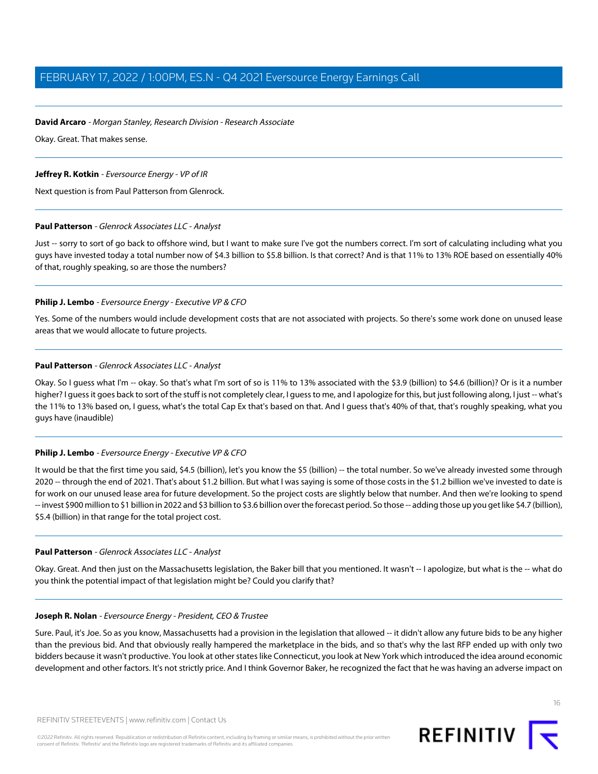# **David Arcaro** - Morgan Stanley, Research Division - Research Associate

Okay. Great. That makes sense.

# **Jeffrey R. Kotkin** - Eversource Energy - VP of IR

<span id="page-15-0"></span>Next question is from Paul Patterson from Glenrock.

# **Paul Patterson** - Glenrock Associates LLC - Analyst

Just -- sorry to sort of go back to offshore wind, but I want to make sure I've got the numbers correct. I'm sort of calculating including what you guys have invested today a total number now of \$4.3 billion to \$5.8 billion. Is that correct? And is that 11% to 13% ROE based on essentially 40% of that, roughly speaking, so are those the numbers?

# **Philip J. Lembo** - Eversource Energy - Executive VP & CFO

Yes. Some of the numbers would include development costs that are not associated with projects. So there's some work done on unused lease areas that we would allocate to future projects.

# **Paul Patterson** - Glenrock Associates LLC - Analyst

Okay. So I guess what I'm -- okay. So that's what I'm sort of so is 11% to 13% associated with the \$3.9 (billion) to \$4.6 (billion)? Or is it a number higher? I guess it goes back to sort of the stuff is not completely clear, I guess to me, and I apologize for this, but just following along, I just -- what's the 11% to 13% based on, I guess, what's the total Cap Ex that's based on that. And I guess that's 40% of that, that's roughly speaking, what you guys have (inaudible)

# **Philip J. Lembo** - Eversource Energy - Executive VP & CFO

It would be that the first time you said, \$4.5 (billion), let's you know the \$5 (billion) -- the total number. So we've already invested some through 2020 -- through the end of 2021. That's about \$1.2 billion. But what I was saying is some of those costs in the \$1.2 billion we've invested to date is for work on our unused lease area for future development. So the project costs are slightly below that number. And then we're looking to spend -- invest \$900 million to \$1 billion in 2022 and \$3 billion to \$3.6 billion over the forecast period. So those -- adding those up you get like \$4.7 (billion), \$5.4 (billion) in that range for the total project cost.

#### **Paul Patterson** - Glenrock Associates LLC - Analyst

Okay. Great. And then just on the Massachusetts legislation, the Baker bill that you mentioned. It wasn't -- I apologize, but what is the -- what do you think the potential impact of that legislation might be? Could you clarify that?

# **Joseph R. Nolan** - Eversource Energy - President, CEO & Trustee

Sure. Paul, it's Joe. So as you know, Massachusetts had a provision in the legislation that allowed -- it didn't allow any future bids to be any higher than the previous bid. And that obviously really hampered the marketplace in the bids, and so that's why the last RFP ended up with only two bidders because it wasn't productive. You look at other states like Connecticut, you look at New York which introduced the idea around economic development and other factors. It's not strictly price. And I think Governor Baker, he recognized the fact that he was having an adverse impact on

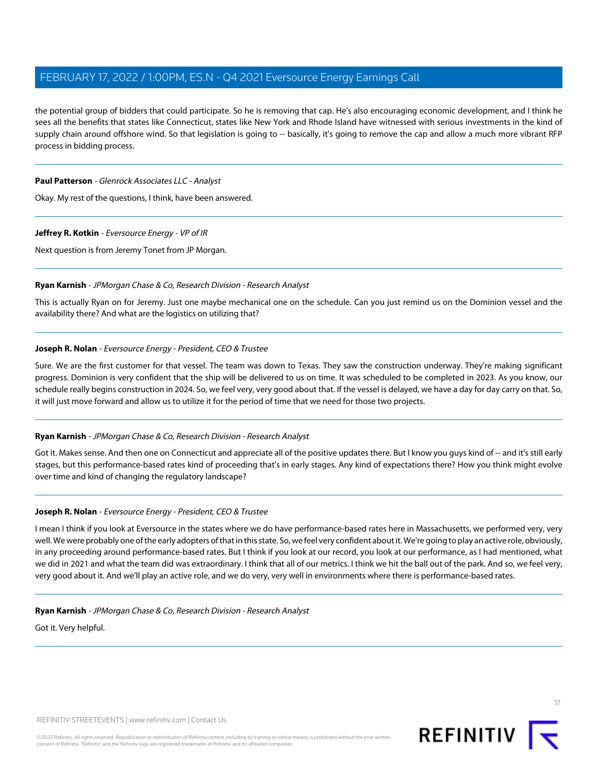the potential group of bidders that could participate. So he is removing that cap. He's also encouraging economic development, and I think he sees all the benefits that states like Connecticut, states like New York and Rhode Island have witnessed with serious investments in the kind of supply chain around offshore wind. So that legislation is going to -- basically, it's going to remove the cap and allow a much more vibrant RFP process in bidding process.

# **Paul Patterson** - Glenrock Associates LLC - Analyst

Okay. My rest of the questions, I think, have been answered.

# **Jeffrey R. Kotkin** - Eversource Energy - VP of IR

<span id="page-16-0"></span>Next question is from Jeremy Tonet from JP Morgan.

# **Ryan Karnish** - JPMorgan Chase & Co, Research Division - Research Analyst

This is actually Ryan on for Jeremy. Just one maybe mechanical one on the schedule. Can you just remind us on the Dominion vessel and the availability there? And what are the logistics on utilizing that?

# **Joseph R. Nolan** - Eversource Energy - President, CEO & Trustee

Sure. We are the first customer for that vessel. The team was down to Texas. They saw the construction underway. They're making significant progress. Dominion is very confident that the ship will be delivered to us on time. It was scheduled to be completed in 2023. As you know, our schedule really begins construction in 2024. So, we feel very, very good about that. If the vessel is delayed, we have a day for day carry on that. So, it will just move forward and allow us to utilize it for the period of time that we need for those two projects.

# **Ryan Karnish** - JPMorgan Chase & Co, Research Division - Research Analyst

Got it. Makes sense. And then one on Connecticut and appreciate all of the positive updates there. But I know you guys kind of -- and it's still early stages, but this performance-based rates kind of proceeding that's in early stages. Any kind of expectations there? How you think might evolve over time and kind of changing the regulatory landscape?

# **Joseph R. Nolan** - Eversource Energy - President, CEO & Trustee

I mean I think if you look at Eversource in the states where we do have performance-based rates here in Massachusetts, we performed very, very well. We were probably one of the early adopters of that in this state. So, we feel very confident about it. We're going to play an active role, obviously, in any proceeding around performance-based rates. But I think if you look at our record, you look at our performance, as I had mentioned, what we did in 2021 and what the team did was extraordinary. I think that all of our metrics. I think we hit the ball out of the park. And so, we feel very, very good about it. And we'll play an active role, and we do very, very well in environments where there is performance-based rates.

# **Ryan Karnish** - JPMorgan Chase & Co, Research Division - Research Analyst

Got it. Very helpful.

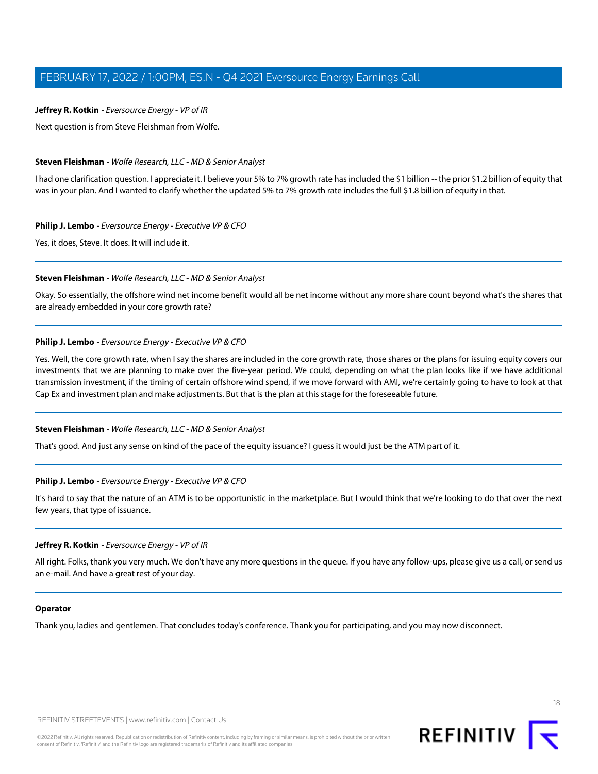Next question is from Steve Fleishman from Wolfe.

#### **Steven Fleishman** - Wolfe Research, LLC - MD & Senior Analyst

I had one clarification question. I appreciate it. I believe your 5% to 7% growth rate has included the \$1 billion -- the prior \$1.2 billion of equity that was in your plan. And I wanted to clarify whether the updated 5% to 7% growth rate includes the full \$1.8 billion of equity in that.

# **Philip J. Lembo** - Eversource Energy - Executive VP & CFO

Yes, it does, Steve. It does. It will include it.

#### **Steven Fleishman** - Wolfe Research, LLC - MD & Senior Analyst

Okay. So essentially, the offshore wind net income benefit would all be net income without any more share count beyond what's the shares that are already embedded in your core growth rate?

# **Philip J. Lembo** - Eversource Energy - Executive VP & CFO

Yes. Well, the core growth rate, when I say the shares are included in the core growth rate, those shares or the plans for issuing equity covers our investments that we are planning to make over the five-year period. We could, depending on what the plan looks like if we have additional transmission investment, if the timing of certain offshore wind spend, if we move forward with AMI, we're certainly going to have to look at that Cap Ex and investment plan and make adjustments. But that is the plan at this stage for the foreseeable future.

#### **Steven Fleishman** - Wolfe Research, LLC - MD & Senior Analyst

That's good. And just any sense on kind of the pace of the equity issuance? I guess it would just be the ATM part of it.

# **Philip J. Lembo** - Eversource Energy - Executive VP & CFO

It's hard to say that the nature of an ATM is to be opportunistic in the marketplace. But I would think that we're looking to do that over the next few years, that type of issuance.

#### **Jeffrey R. Kotkin** - Eversource Energy - VP of IR

All right. Folks, thank you very much. We don't have any more questions in the queue. If you have any follow-ups, please give us a call, or send us an e-mail. And have a great rest of your day.

#### **Operator**

Thank you, ladies and gentlemen. That concludes today's conference. Thank you for participating, and you may now disconnect.